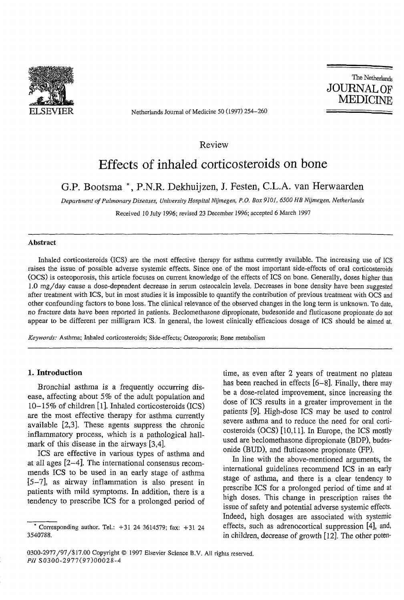The Netherlands **JOURNAL OF MEDICINE**



ELSEVIER Netherlands Journal of Medicine 50 (1997) 254—260

Review

# **Effects of inhaled corticosteroids on bone**

# **G.P. Bootsma \*, P.N.R. Dekhuijzen, J. Festen, C.L.A. van Herwaarden**

Inhaled corticosteroids (ICS) are the most effective therapy for asthma currently available. The increasing use of ICS raises the issue of possible adverse systemic effects. Since one of the most important side-effects of oral corticosteroids (OCS) is osteoporosis, this article focuses on current knowledge of the effects of ICS on bone. Generally, doses higher than 1.0 mg/day cause a dose-dependent decrease in serum osteocalcin levels. Decreases in bone density have been suggested after treatment with ICS, but in most studies it is impossible to quantify the contribution of previous treatment with OCS and other confounding factors to bone loss. The clinical relevance of the observed changes in the long term is unknown. To date, no fracture data have been reported in patients, Beclomethasone dipropionate, budesonide and fluticasone propionate do not appear to be different per milligram ICS. In general, the lowest clinically efficacious dosage of ICS should be aimed at,

*Department of Pulmonary Diseases, University Hospital Nijmegen*, *P.O. Box 9101, 6500 HB Nijmegen, Netherlands*

Received 10 July *1996*; revised 23 December *1996;* accepted 6 March 1997

#### Abstract

#### \* Corresponding author. Tel.:  $+31$  24 3614579; fax:  $+31$  24 3540788.

*Keywords:* Asthma; Inhaled corticosteroids; Side-effects; Osteoporosis; Bone metabolism

#### 1. Introduction

Bronchial asthma is a frequently occurring disease, affecting about *5%* of the adult population and  $10-15\%$  of children [1]. Inhaled corticosteroids (ICS) are the most effective therapy for asthma currently available [2,3]. These agents suppress the chronic inflammatory process, which is a pathological hallmark of this disease in the airways [3,4],

ICS are effective in various types of asthma and at all ages *[2-4],* The international consensus recommends ICS to be used in an early stage of asthma [5-7], as airway inflammation is also present in patients with mild symptoms. In addition, there is a tendency to prescribe ICS for a prolonged period of

time, as even after 2 years of treatment no plateau has been reached in effects [6-8]. Finally, there may be a dose-related improvement, since increasing the dose of ICS results in a greater improvement in the patients [9]. High-dose ICS may be used to control severe asthma and to reduce the need for oral corticosteroids (OCS) [10,11]. In Europe, the ICS mostly used are beclomethasone dipropionate (BDP), budesonide (BUD), and fluticasone propionate (FP).

In line with the above-mentioned arguments, the international guidelines recommend ICS in an early stage of asthma, and there is a clear tendency to prescribe ICS for a prolonged period of time and at high doses. This change in prescription raises the issue of safety and potential adverse systemic effects. Indeed, high dosages are associated with systemic effects, such as adrenocortical suppression [4], and, in children, decrease of growth [12]. The other poten-

#### 0300-2977/97/\$ 17.00 Copyright © 1997 Elsevier Science B.V. All rights reserved. *PU* S0300-2977(97)00028-4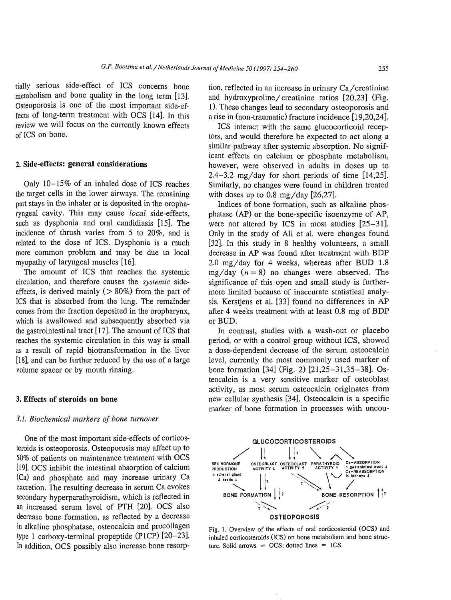## G. *P. Bootsma et ai / Netherlands Journal of Medicine 50 (1997) 254-260* 255

tially serious side-effect of ICS concerns bone metabolism and bone quality in the long term [13]. Osteoporosis is one of the most important side-effects of long-term treatment with OCS [14]. In this review we will focus on the currently known effects of ICS on bone.

# 2. Side-effects: general considerations

Only 10-15% of an inhaled dose of ICS reaches the target cells in the lower airways. The remaining part stays in the inhaler or is deposited in the oropharyngeal cavity. This may cause *local* side-effects, such as dysphonia and oral candidiasis [15]. The incidence of thrush varies from 5 to 20%, and is related to the dose of ICS. Dysphonia is a much more common problem and may be due to local myopathy of laryngeal muscles [16],

The amount of ICS that reaches the systemic circulation, and therefore causes the *systemic* sideeffects, is derived mainly ( $> 80\%$ ) from the part of ICS that is absorbed from the lung. The remainder comes from the fraction deposited in the oropharynx, which is swallowed and subsequently absorbed via the gastrointestinal tract [17]. The amount of ICS that reaches the systemic circulation in this way is small as a result of rapid biotransformation in the liver [18], and can be further reduced by the use of a large volume spacer or by mouth rinsing.

## 3, Effects of steroids on bone

One of the most important side-effects of corticosteroids is osteoporosis. Osteoporosis may affect up to 50% of patients on maintenance treatment with OCS [19]. OCS inhibit the intestinal absorption of calcium (Ca) and phosphate and may increase urinary Ca excretion. The resulting decrease in serum Ca evokes secondary hyperparathyroidism, which is reflected in an increased serum level of PTH [20]. OCS also decrease bone formation, as reflected by a decrease in alkaline phosphatase, osteocalcin and procollagen type 1 carboxy-terminal propeptide (P1CP) [20-23]. In addition, OCS possibly also increase bone resorp-

tion, reflected in an increase in urinary Ca/creatinine and hydroxyproline/creatinine ratios [20,23] (Fig. l). These changes lead to secondary osteoporosis and a rise in (non-traumatic) fracture incidence [19,20,24]. ICS interact with the same glucocorticoid receptors, and would therefore be expected to act along a similar pathway after systemic absorption. No significant effects on calcium or phosphate metabolism, however, were observed in adults in doses up to 2.4-3.2 mg/day for short periods of time [14,25]. Similarly, no changes were found in children treated with doses up to 0.8 mg/day [26,27]. Indices of bone formation, such as alkaline phosphatase (AP) or the bone-specific isoenzyme of AP, were not altered by ICS in most studies [25-31]. Only in the study of Ali et al. were changes found [32]. In this study in 8 healthy volunteers, a small decrease in AP was found after treatment with BDP 2.0 mg/day for 4 weeks, whereas after BUD 1.8 mg/day  $(n = 8)$  no changes were observed. The significance of this open and small study is furthermore limited because of inaccurate statistical analysis, Kerstjens et al. [33] found no differences in AP after 4 weeks treatment with at least 0.8 mg of BDP or BUD.

In contrast, studies with a wash-out or placebo period, or with a control group without ICS, showed a dose-dependent decrease of the serum osteocalcin level, currently the most commonly used marker of bone formation [34] (Fig. 2) [21,25-31,35-38]. Osteocalcin is a very sensitive marker of osteoblast activity, as most serum osteocalcin originates from new cellular synthesis [34]. Osteocalcin is a specific marker of bone formation in processes with uncou-

*3.1. Biochemical markers of bone turnover*



Fig. 1. Overview of the effects of oral corticosteroid (OCS) and

inhaled corticosteroids (ICS) on bone metabolism and bone struc-

ture. Solid arrows  $=$  OCS; dotted lines  $=$  ICS.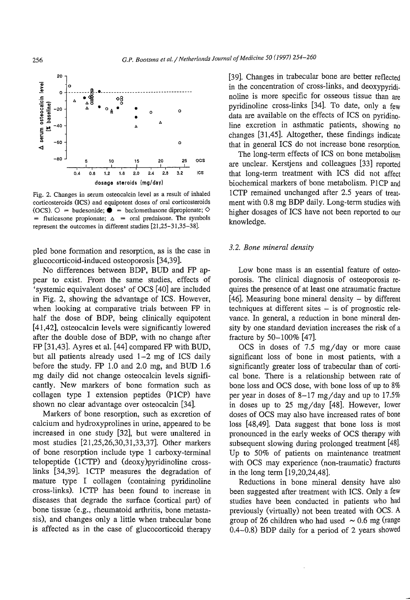



# 0.4 0.8 1.2 1.6 2.0 2.4 2.8 3.2

dosage steroids (mg/day)

Fig. 2. Changes in serum osteocalcin level as a result of inhaled corticosteroids (ICS) and equipotent doses of oral corticosteroids  $(OCS)$ .  $\bigcirc$  = budesonide;  $\bullet$  = beclomethasone dipropionate;  $\Diamond$ = fluticasone propionate;  $\Delta$  = oral prednisone. The symbols represent the outcomes in different studies [21,25-31,35-38],

[39]. Changes in trabecular bone are better reflected in the concentration of cross-links, and deoxypyridinoline is more specific for osseous tissue than are pyridinoline cross-links [34]. To date, only a few data are available on the effects of ICS on pyridinoline excretion in asthmatic patients, showing no changes [31,45]. Altogether, these findings indicate that in general ICS do not increase bone resorption. The long-term effects of ICS on bone metabolism

are unclear, Kerstjens and colleagues [33] reported that long-term treatment with ICS did not affect biochemical markers of bone metabolism. PICP and 1CTP remained unchanged after 2.5 years of treatment with 0.8 mg BDP daily. Long-term studies with higher dosages of ICS have not been reported to our knowledge.

pled bone formation and resorption, as is the case in glucocorticoid-induced osteoporosis [34,39].

No differences between BDP, BUD and FP appear to exist. From the same studies, effects of 'systemic equivalent doses' of OCS [40] are included in Fig. 2, showing the advantage of ICS. However, when looking at comparative trials between FP in half the dose of BDP, being clinically equipotent [41,42], osteocalcin levels were significantly lowered after the double dose of BDP, with no change after FP [31,43]. Ayres et al. [44] compared FP with BUD, but all patients already used  $1-2$  mg of ICS daily before the study. FP 1.0 and 2.0 mg, and BUD 1.6 mg daily did not change osteocalcin levels significantly. New markers of bone formation such as collagen type I extension peptides (P1CP) have shown no clear advantage over osteocalcin [34]. Markers of bone resorption, such as excretion of calcium and hydroxyprolines in urine, appeared to be increased in one study [32], but were unaltered in most studies [21,25,26,30,31,33,37]. Other markers of bone resorption include type 1 carboxy-terminal telopeptide (1CTP) and (deoxy)pyridinoline crosslinks [34,39]. 1CTP measures the degradation of mature type I collagen (containing pyridinoline cross-links). 1CTP has been found to increase in diseases that degrade the surface (cortical part) of bone tissue (e.g., rheumatoid arthritis, bone metastasis), and changes only a little when trabecular bone is affected as in the case of glucocorticoid therapy

*3.2. Bone mineral density*

Low bone mass is an essential feature of osteoporosis. The clinical diagnosis of osteoporosis requires the presence of at least one atraumatic fracture  $[46]$ . Measuring bone mineral density  $-$  by different techniques at different sites  $-$  is of prognostic relevance. In general, a reduction in bone mineral density by one standard deviation increases the risk of a fracture by 50-100% [47].

OCS in doses of 7.5 mg/day or more cause significant loss of bone in most patients, with a significantly greater loss of trabecular than of cortical bone. There is a relationship between rate of bone loss and OCS dose, with bone loss of up to 8% per year in doses of  $8-17$  mg/day and up to 17.5% in doses up to 25 mg/day [48]. However, lower doses of OCS may also have increased rates of bone loss [48,49]. Data suggest that bone loss is most pronounced in the early weeks of OCS therapy with subsequent slowing during prolonged treatment [48]. Up to 50% of patients on maintenance treatment with OCS may experience (non-traumatic) fractures in the long term [19,20,24,48]. Reductions in bone mineral density have also been suggested after treatment with ICS. Only a few studies have been conducted in patients who had previously (virtually) not been treated with OCS. A group of 26 children who had used  $\sim 0.6$  mg (range 0.4-0.8) BDP daily for a period of 2 years showed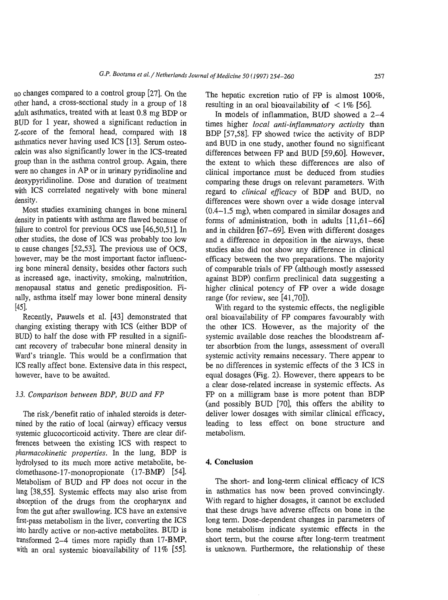# *G.P. Bootsma et al. / Netherlands Journal of Medicine 50 (1997) 254-260* 257

no changes compared to a control group [27]. On the other hand, a cross-sectional study in a group of 18 adult asthmatics, treated with at least 0.8 mg BDP or BUD for 1 year, showed a significant reduction in Z-score of the femoral head, compared with 18 asthmatics never having used ICS [13]. Serum osteocalcin was also significantly lower in the ICS-treated group than in the asthma control group. Again, there were no changes in AP or in urinary pyridinoline and deoxypyridinoline. Dose and duration of treatment with ICS correlated negatively with bone mineral density. Most studies examining changes in bone mineral density in patients with asthma are flawed because of failure to control for previous OCS use [46,50,51]. In other studies, the dose of ICS was probably too low to cause changes [52,53]. The previous use of OCS, however, may be the most important factor influencing bone mineral density, besides other factors such as increased age, inactivity, smoking, malnutrition, menopausal status and genetic predisposition. Finally, asthma itself may lower bone mineral density [45].

The hepatic excretion ratio of FP is almost 100%, resulting in an oral bioavailability of  $\leq 1\%$  [56].

Recently, Pauwels et al. [43] demonstrated that changing existing therapy with ICS (either BDP of BUD) to half the dose with FP resulted in a significant recovery of trabecular bone mineral density in Ward's triangle. This would be a confirmation that ICS really affect bone. Extensive data in this respect, however, have to be awaited.

3.3. *Comparison between BDP, BUD and FP*

In models of inflammation, BUD showed a 2-4 times higher *local anti-inflammatory activity* than BDP [57,58], FP showed twice the activity of BDP and BUD in one study, another found no significant differences between FP and BUD [59,60]. However, the extent to which these differences are also of clinical importance must be deduced from studies comparing these drugs on relevant parameters. With regard to *clinical efficacy* of BDP and BUD, no differences were shown over a wide dosage interval (0.4-1.5 mg), when compared in similar dosages and forms of administration, both in adults  $[11,61-66]$ and in children [67-69]. Even with different dosages and a difference in deposition in the airways, these studies also did not show any difference in clinical efficacy between the two preparations. The majority of comparable trials of FP (although mostly assessed against BDP) confirm preclinical data suggesting a higher clinical potency of *FP* over a wide dosage range (for review, see [41,70]). With regard to the systemic effects, the negligible oral bioavailability of FP compares favourably with the other ICS. However, as the majority of the systemic available dose reaches the bloodstream after absorbtion from the lungs, assessment of overall systemic activity remains necessary. There appear to be no differences in systemic effects of the 3 ICS in equal dosages (Fig. 2). However, there appears to be a clear dose-related increase in systemic effects. As FP on a milligram base is more potent than BDP (and possibly BUD [70], this offers the ability to deliver lower dosages with similar clinical efficacy, leading to less effect on bone structure and

The risk/benefit ratio of inhaled steroids is determined by the ratio of local (airway) efficacy versus systemic glucocorticoid activity. There are clear differences between the existing ICS with respect to *pharmacokinetic properties*. In the lung, BDP is hydrolysed to its much more active metabolite, beclomethasone-17-monopropionate (17-BMP) [54]. Metabolism of BUD and FP does not occur in the lung [38,55]. Systemic effects may also arise from absorption of the drugs from the oropharynx and from the gut after swallowing. ICS have an extensive first-pass metabolism in the liver, converting the ICS into hardly active or non-active metabolites. BUD is transformed 2-4 times more rapidly than 17-BMP, with an oral systemic bioavailability of  $11\%$  [55]. metabolism. 4. Conclusion

The short- and long-term clinical efficacy of ICS in asthmatics has now been proved convincingly. With regard to higher dosages, it cannot be excluded that these drugs have adverse effects on bone in the long term. Dose-dependent changes in parameters of bone metabolism indicate systemic effects in the short term, but the course after long-term treatment is unknown. Furthermore, the relationship of these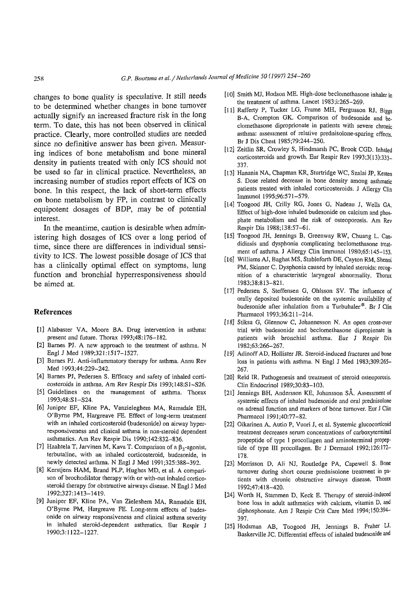258 *G,P. Bootsma et al. / Netherlands Journal of Medicine 50 (1997) 254-260* 

changes to bone quality is speculative. It still needs to be determined whether changes in bone turnover actually signify an increased fracture risk in the long term, To date, this has not been observed in clinical practice. Clearly, more controlled studies are needed since no definitive answer has been given. Measuring indices of bone metabolism and bone mineral density in patients treated with only ICS should not be used so far in clinical practice. Nevertheless, an increasing number of studies report effects of ICS on bone. In this respect, the lack of short-term effects on bone metabolism by FP, in contrast to clinically equipotent dosages of BDP, may be of potential interest. In the meantime, caution is desirable when administering high dosages of ICS over a long period of time, since there are differences in individual sensitivity to ICS. The lowest possible dosage of ICS that has a clinically optimal effect on symptoms, lung function and bronchial hyperresponsiveness should be aimed at.

#### References

[1] Alabaster VA, Moore BA. Drug intervention in asthma: present and future. Thorax 1993;48:176-182.

- [10] Smith MJ, Hodson ME. High-dose beclomethasone inhaler in the treatment of asthma. Lancet 1983 ;i:265—269.
- [11] Rafferty P, Tucker LG, Frame MH, Fergusson RJ, Biggs B-A, Crompton GK. Comparison of budesonide and beclomethasone diproprionate in patients with severe chronic asthma: assessment of relative prednisolone-sparing effects. Br J Dis Chest 1985;79:244-250.
- [12] Zeitlin SR, Crowley S, Hindmarsh PC, Brook CGD. Inhaled corticosteroids and growth. Eur Respir Rev 1993;3( 13):333— 337.

O\*Byrne PM, Hargreave FE. Long-term effects of budesonide on airway responsiveness and clinical asthma severity in inhaled steroid-dependent asthmatics. Eur Respir J 1990;3:1122-1227.

- [13] Hanania NA, Chapman KR, Sturtridge WC, Szalai JP, Kesten S. Dose related decrease in bone density among asthmatic patients treated with inhaled corticosteroids. J Allergy Clin Immunol 1995;96:571-579.
- [14] Toogood JH, Crilly RG, Jones G, Nadeau J, Wells GA. Effect of high-dose inhaled budesonide on calcium and phosphate metabolism and the risk of osteoporosis. Am Rev Respir Dis 1988;138:57-61.
- [15] Toogood JH, Jennings B, Greenway RW, Chuang L. Candidiasis and dysphonia complicating beclomethasone treatment of asthma. J Allergy Clin Immunol 1980;65:145-153.
- [16] Williams AJ, Baghat MS, Stableforth DE, Cayton RM, Shenoi PM, Skinner C. Dysphonia caused by inhaled steroids: recognition of a characteristic laryngeal abnormality. Thorax 1983;38:813-821.
- [17] Pedersen S, Steffensen G, Ohlsson SV. The influence of orally deposited budesonide on the systemic availability of budesonide after inhalation from a Turbuhaler®. Br J Clin Pharmacol 1993;36:211-214.
- [18] Stiksa G, Giennow C, Johannesson N. An open cross-over trial with budesonide and beclomethasone dipropionate in patients with bronchial asthma. Eur J Respir Dis 1982;63:266-267.
- [2] Bames PJ. A new approach to the treatment of asthma. N Engl J Med 1989;321:1517-1527.
- [3] Bames PJ. Anti-inflammatory therapy for asthma. Annu Rev Med 1993;44:229-242.
- [4] Barnes PJ, Pedersen S. Efficacy and safety of inhaled corticosteroids in asthma. Am Rev Respir Dis 1993;148:S1-S26.
- [5] Guidelines on the management of asthma. Thorax 1993;48:S1-S24.
- [6] Juniper EF, Kline PA, Vanzieleghem MA, Ramsdale EH, O'Byrne PM, Hargreave FE, Effect of long-term treatment with an inhaled corticosteroid (budesonide) on airway hyperresponsiveness and clinical asthma in non-steroid dependent asthmatics. Am Rev Respir Dis 1990;142:832-836.
- [7] Haahtela T, Jarvinen M, Kava T. Comparison of a  $\beta_2$ -agonist, terbutaline, with an inhaled corticosteroid, budesonide, in newly detected asthma. N Engl J Med 1991;325:388-392.
- [8] Kerstjens HAM, Brand PLP, Hughes MD, et al. A comparison of brochodilator therapy with or with-out inhaled corticosteroid therapy for obstructive airways disease. N Engl J Med 1992;327:1413-1419.
- [9] Juniper EF, Kline PA, Van Zieleshem MA, Ramsdale EH,
- [19] Adinoff AD, Hollister JR. Steroid-induced fractures and bone loss in patients with asthma. N Engl J Med 1983;309:265-267.
- [20] Reid IR. Pathogenesis and treatment of steroid osteoporosis. Clin Endocrinol 1989;30:83-103.
- [21] Jennings BH, Andersson KE, Johansson SA, Assessment of systemic effects of inhaled budesonide and oral prednisolone on adrenal function and markers of bone turnover. Eur J Clin Pharmacol 1991;40:77-82.
- [22] Oikarinen A, Autio P, Vuori J, et al. Systemic glucocorticoid treatment decreases serum concentrations of carboxyterminal propeptide of type 1 procollagen and aminoterminal propeptide of type III procollagen. Br J Dermatol 1992; 126:172— 178.
- [23] Morrisson D, Ali NJ, Routledge PA, Capewell S. Bone turnover during short course prednisolone treatment in patients with chronic obstructive airways disease. Thorax 1992;47:418-420.
- [24] Worth H, Stammen D, Keck E. Therapy of steroid-induced bone loss in adult asthmatics with calcium, vitamin D, and

diphosphonate. Am J Respir Crit Care Med 1994; 150:394- 397.

[25] Hodsman AB, Toogood JH, Jennings B, Fraher LJ, Baskerville JC. Differential effects of inhaled budesonide and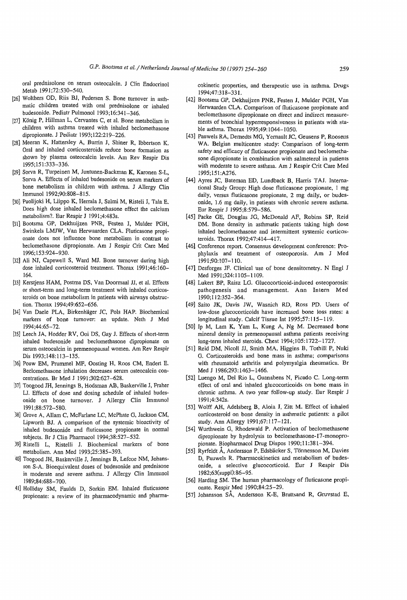## *G.P*. *Bootsma et al / Netherlands Journal of Medicine 50 (1997) 254-260* 259

- [29] Sorva R, Turpeinen M, Juntunen-Backman K, Karonen S-L, Sorva A. Effects of inhaled budesonide on serum markers of bone metabolism in children with asthma. J Allergy Clin Immunol 1992;90:808-815.
- [30] Puolijoki H, Liippo K, Herrala J, Salmi M, Risteli J, Tala E. Does high dose inhaled beclomethasone effect the calcium metabolism?. Eur Respir J 1991 ;4:483s.
- [31] Bootsma GP, Dekhuijzen PNR, Festen J, Mulder PGH, Swinkels LMJW, Van Herwaarden CLA. Fluticasone propionate does not influence bone metabolism in contrast to beclomethasone dipropionate. Am J Respir Crit Care Med 1996;153:924-930.
- [32] Ali NJ, Capewell S, Ward MJ. Bone turnover during high dose inhaled corticosteroid treatment. Thorax 1991 ;46:160— 164.
- [33] Kerstjens HAM, Postma DS, Van Doormaal JJ, et al. Effects or short-term and long-term treatment with inhaled corticosteroids on bone metabolism in patients with airways obstruction. Thorax 1994;49:652-656.
- [34] Van Daele PLA, Birkenhäger JC, Pols HAP. Biochemical
- oral prednisolone on serum osteocalcin. J Clin Endocrinol Metab 1991;72:530-540.
- [26] Wolthers OD, Riis BJ, Pedersen S. Bone turnover in asthmatic children treated with oral prednisolone or inhaled budesonide. Pediatr Pulmonol 1993;16:341-346.
- [27] König P, Hillman L, Cervantes C, et al. Bone metabolism in children with asthma treated with inhaled beclomethasone dipropionate. J Pediatr 1993;122:219-226.
- [28] Meeran K, Hattersley A, Burrin J, Shiner R, Ibbertson K. Oral and inhaled corticosteroids reduce bone formation as shown by plasma osteocalcin levels. Am Rev Respir Dis 1995;151:333-336.

- [50] Ip M, Lam K, Yam L, Kung A, Ng M. Decreased bone mineral density in premenopausal asthma patients receiving long-term inhaled steroids. Chest 1994;105:1722-1727.
- [51] Reid DM, Nicoll JJ, Smith MA, Higgins B, Tothili P, Nuki G. Corticosteroids and bone mass in asthma; comparisons with rheumatoid arthritis and polymyalgia rheumatica. Br Med J 1986;293:1463–1466.
- [52] Luengo M, Del Rio L, Guanabens N, Picado C. Long-term effect of oral and inhaled glucocorticoids on bone mass in chronic asthma. A two year follow-up study. Eur Respir J 1991;4:342s.
- [53] Wolff AH, Adelsberg B, Aloia J, Zitt M. Effect of inhaled corticosteroid on bone density in asthmatic patients: a pilot study. Ann Allergy 1991;67:117-121.
- [54] Wurthwein G, Rhodewald P. Activation of beclomethasone dipropionate by hydrolysis to beclomethasone-17-monopropionate. Biopharmacol Drug Dispos 1990;11:381-394.
- [55] Ryrfeldt A, Andersson P, Edsbäcker S, Tönnesson M, Davies D, Pauwels R. Pharmacokinetics and metabolism of budesonide, a selective glucocorticoid. Eur J Respir Dis 1982;63(suppl):86-95.
- [56] Harding SM. The human pharmacology of fluticasone propionate. Respir Med 1990;84:25-29.

cokinetic properties, and therapeutic use in asthma. Drugs 1994;47:318-331.

- [44] Ayres JC, Bateman ED, Lundback B, Harris TAJ. International Study Group: High dose fluticasone propionate, 1 mg daily, versus fluticasone propionate, 2 mg daily, or budesonide, 1.6 mg daily, in patients with chronic severe asthma. Eur Respir J 1995;8:579-586.
- [45] Packe GE, Douglas JG, McDonald AF, Robins SP, Reid DM. Bone density in asthmatic patients taking high dose inhaled beclomethasone and intermittent systemic corticosteroids. Thorax 1992;47:414-417.
- [46] Conference report. Consensus development conference: Prophylaxis and treatment of osteoporosis. Am J Med 1991;90:107-110.
- [47] Desforges JF. Clinical use of bone densitometry. N Engl J Med 1991;324:1105-1109.
- [48] Lukert BP, Raisz LG. Glucocorticoid-induced osteoporosis: pathogenesis and management. Ann Intern Med 1990;112:352-364.
- [49] Saito JK, Davis JW, Wasnich RD, Ross PD. Users of low-dose glucocorticoids have increased bone loss rates: a longitudinal study. Calcif Tissue Int 1995;57:115-119.
- markers of bone turnover: an update. Neth J Med 1994;44:65-72.
- [35] Leech JA, Hodder RV, Ooi DS, Gay J. Effects of short-term inhaled budesonide and beclomethasone dipropionate on serum osteocalcin in premenopausal women. Am Rev Respir Dis 1993;148:113-135.
- [36] Pouw EM, Prummel MF, Oosting H, Roos CM, Endert E. Beclomethasone inhalation decreases serum osteocalcin concentrations. Br Med J 1991;302:627-628.
- [37] Toogood JH, Jennings B, Hodsman AB, Baskerville J, Fraher LJ. Effects of dose and dosing schedule of inhaled budesonide on bone turnover. J Allergy Clin Immunol 1991;88:572-580.
- .38] Grove A, Allam C, McFarlane LC, McPhate G, Jackson CM, Lipworth BJ. A comparison of the systemic bioactivity of inhaled budesonide and fluticasone propionate in normal subjects. Br J Clin Pharmacol 1994;38:527-532.
- .39] Ristelli L, Ristelli J. Biochemical markers of bone metabolism. Ann Med 1993;25:385-393.
- 40] Toogood JH, Baskerville J, Jennings B, Lefcoe NM, Johansson S-A. Bioequivalent doses of budesonide and prednisone in moderate and severe asthma. J Allergy Clin Immunol 1989;84:688-700. 41] Holliday SM, Faulds D, Sorkin EM. Inhaled fluticasone propionate: a review of its pharmacodynamic and pharma-
- [42] Bootsma GP, Dekhuijzen PNR, Festen J, Mulder PGH, Van Herwaarden CLA. Comparison of fluticasone propionate and beclomethasone dipropionate on direct and indirect measurements of bronchial hyperresponsiveness in patients with stable asthma. Thorax 1995;49:1044-1050.
- [43] Pauwels RA, Demedts MG, Yemault JC, Geusens P, Roosens WA. Belgian multicentre study: Comparison of long-term safety and efficacy of fluticasone propionate and beclomethasone dipropionate in combination with salmeterol in patients with moderate to severe asthma. Am J Respir Crit Care Med 1995;15l:A276.

[57] Johansson SA, Andersson K-E, Brattsand R, Gruvstad E,